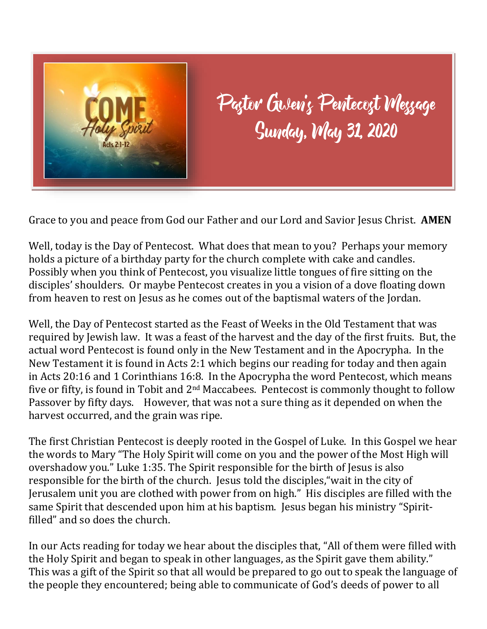

Paştor Gisleviz Pevitecoşt Weşşage<br>Sunday, Way 31, 2020

Grace to you and peace from God our Father and our Lord and Savior Jesus Christ. **AMEN**

Well, today is the Day of Pentecost. What does that mean to you? Perhaps your memory holds a picture of a birthday party for the church complete with cake and candles. Possibly when you think of Pentecost, you visualize little tongues of fire sitting on the disciples' shoulders. Or maybe Pentecost creates in you a vision of a dove floating down from heaven to rest on Jesus as he comes out of the baptismal waters of the Jordan.

Well, the Day of Pentecost started as the Feast of Weeks in the Old Testament that was required by Jewish law. It was a feast of the harvest and the day of the first fruits. But, the actual word Pentecost is found only in the New Testament and in the Apocrypha. In the New Testament it is found in Acts 2:1 which begins our reading for today and then again in Acts 20:16 and 1 Corinthians 16:8. In the Apocrypha the word Pentecost, which means five or fifty, is found in Tobit and 2<sup>nd</sup> Maccabees. Pentecost is commonly thought to follow Passover by fifty days. However, that was not a sure thing as it depended on when the harvest occurred, and the grain was ripe.

The first Christian Pentecost is deeply rooted in the Gospel of Luke. In this Gospel we hear the words to Mary "The Holy Spirit will come on you and the power of the Most High will overshadow you." Luke 1:35. The Spirit responsible for the birth of Jesus is also responsible for the birth of the church. Jesus told the disciples,"wait in the city of Jerusalem unit you are clothed with power from on high." His disciples are filled with the same Spirit that descended upon him at his baptism. Jesus began his ministry "Spiritfilled" and so does the church.

In our Acts reading for today we hear about the disciples that, "All of them were filled with the Holy Spirit and began to speak in other languages, as the Spirit gave them ability." This was a gift of the Spirit so that all would be prepared to go out to speak the language of the people they encountered; being able to communicate of God's deeds of power to all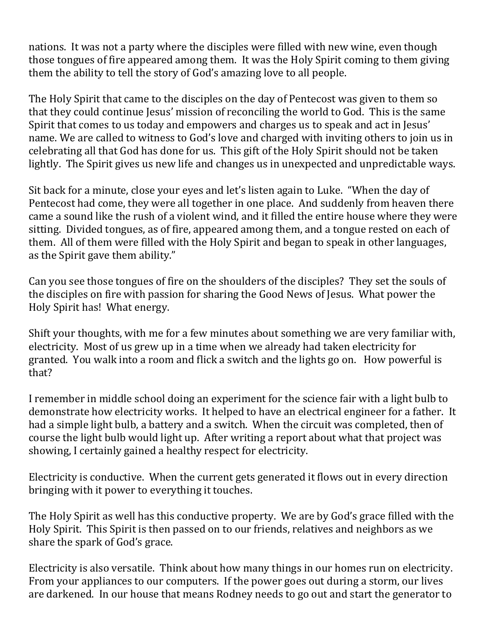nations. It was not a party where the disciples were filled with new wine, even though those tongues of fire appeared among them. It was the Holy Spirit coming to them giving them the ability to tell the story of God's amazing love to all people.

The Holy Spirit that came to the disciples on the day of Pentecost was given to them so that they could continue Jesus' mission of reconciling the world to God. This is the same Spirit that comes to us today and empowers and charges us to speak and act in Jesus' name. We are called to witness to God's love and charged with inviting others to join us in celebrating all that God has done for us. This gift of the Holy Spirit should not be taken lightly. The Spirit gives us new life and changes us in unexpected and unpredictable ways.

Sit back for a minute, close your eyes and let's listen again to Luke. "When the day of Pentecost had come, they were all together in one place. And suddenly from heaven there came a sound like the rush of a violent wind, and it filled the entire house where they were sitting. Divided tongues, as of fire, appeared among them, and a tongue rested on each of them. All of them were filled with the Holy Spirit and began to speak in other languages, as the Spirit gave them ability."

Can you see those tongues of fire on the shoulders of the disciples? They set the souls of the disciples on fire with passion for sharing the Good News of Jesus. What power the Holy Spirit has! What energy.

Shift your thoughts, with me for a few minutes about something we are very familiar with, electricity. Most of us grew up in a time when we already had taken electricity for granted. You walk into a room and flick a switch and the lights go on. How powerful is that?

I remember in middle school doing an experiment for the science fair with a light bulb to demonstrate how electricity works. It helped to have an electrical engineer for a father. It had a simple light bulb, a battery and a switch. When the circuit was completed, then of course the light bulb would light up. After writing a report about what that project was showing, I certainly gained a healthy respect for electricity.

Electricity is conductive. When the current gets generated it flows out in every direction bringing with it power to everything it touches.

The Holy Spirit as well has this conductive property. We are by God's grace filled with the Holy Spirit. This Spirit is then passed on to our friends, relatives and neighbors as we share the spark of God's grace.

Electricity is also versatile. Think about how many things in our homes run on electricity. From your appliances to our computers. If the power goes out during a storm, our lives are darkened. In our house that means Rodney needs to go out and start the generator to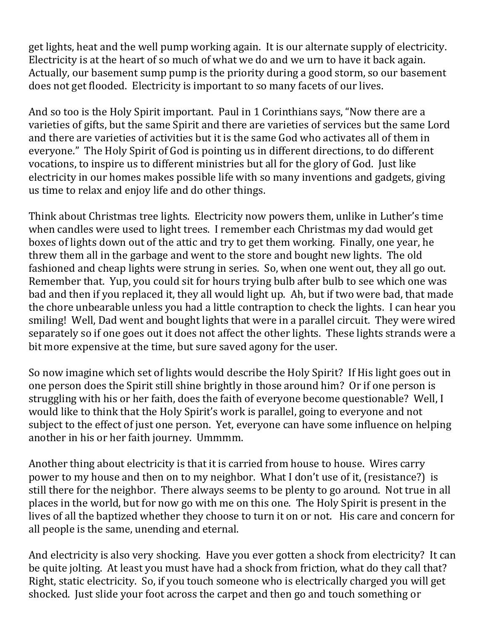get lights, heat and the well pump working again. It is our alternate supply of electricity. Electricity is at the heart of so much of what we do and we urn to have it back again. Actually, our basement sump pump is the priority during a good storm, so our basement does not get flooded. Electricity is important to so many facets of our lives.

And so too is the Holy Spirit important. Paul in 1 Corinthians says, "Now there are a varieties of gifts, but the same Spirit and there are varieties of services but the same Lord and there are varieties of activities but it is the same God who activates all of them in everyone." The Holy Spirit of God is pointing us in different directions, to do different vocations, to inspire us to different ministries but all for the glory of God. Just like electricity in our homes makes possible life with so many inventions and gadgets, giving us time to relax and enjoy life and do other things.

Think about Christmas tree lights. Electricity now powers them, unlike in Luther's time when candles were used to light trees. I remember each Christmas my dad would get boxes of lights down out of the attic and try to get them working. Finally, one year, he threw them all in the garbage and went to the store and bought new lights. The old fashioned and cheap lights were strung in series. So, when one went out, they all go out. Remember that. Yup, you could sit for hours trying bulb after bulb to see which one was bad and then if you replaced it, they all would light up. Ah, but if two were bad, that made the chore unbearable unless you had a little contraption to check the lights. I can hear you smiling! Well, Dad went and bought lights that were in a parallel circuit. They were wired separately so if one goes out it does not affect the other lights. These lights strands were a bit more expensive at the time, but sure saved agony for the user.

So now imagine which set of lights would describe the Holy Spirit? If His light goes out in one person does the Spirit still shine brightly in those around him? Or if one person is struggling with his or her faith, does the faith of everyone become questionable? Well, I would like to think that the Holy Spirit's work is parallel, going to everyone and not subject to the effect of just one person. Yet, everyone can have some influence on helping another in his or her faith journey. Ummmm.

Another thing about electricity is that it is carried from house to house. Wires carry power to my house and then on to my neighbor. What I don't use of it, (resistance?) is still there for the neighbor. There always seems to be plenty to go around. Not true in all places in the world, but for now go with me on this one. The Holy Spirit is present in the lives of all the baptized whether they choose to turn it on or not. His care and concern for all people is the same, unending and eternal.

And electricity is also very shocking. Have you ever gotten a shock from electricity? It can be quite jolting. At least you must have had a shock from friction, what do they call that? Right, static electricity. So, if you touch someone who is electrically charged you will get shocked. Just slide your foot across the carpet and then go and touch something or